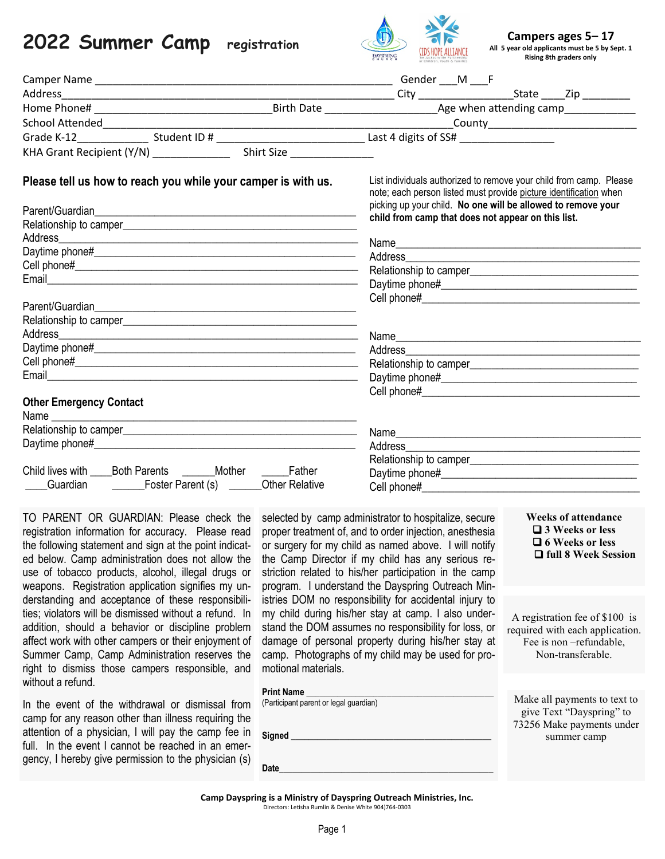# **2022 Summer Camp registration**



**Campers ages 5– 17 All 5 year old applicants must be 5 by Sept. 1 Rising 8th graders only**

|                                                                                                                                                                                                                                                                                                                                                                                                                                                                                             |                                                                               | <b>GHURCH</b><br>ne Jacksonville Partnership<br>>r Children, Youth & Families                                                                                                                                                                                                     | <b>Rising 8th graders only</b>                                                                                   |  |
|---------------------------------------------------------------------------------------------------------------------------------------------------------------------------------------------------------------------------------------------------------------------------------------------------------------------------------------------------------------------------------------------------------------------------------------------------------------------------------------------|-------------------------------------------------------------------------------|-----------------------------------------------------------------------------------------------------------------------------------------------------------------------------------------------------------------------------------------------------------------------------------|------------------------------------------------------------------------------------------------------------------|--|
|                                                                                                                                                                                                                                                                                                                                                                                                                                                                                             |                                                                               |                                                                                                                                                                                                                                                                                   |                                                                                                                  |  |
|                                                                                                                                                                                                                                                                                                                                                                                                                                                                                             |                                                                               |                                                                                                                                                                                                                                                                                   |                                                                                                                  |  |
|                                                                                                                                                                                                                                                                                                                                                                                                                                                                                             |                                                                               |                                                                                                                                                                                                                                                                                   |                                                                                                                  |  |
|                                                                                                                                                                                                                                                                                                                                                                                                                                                                                             |                                                                               |                                                                                                                                                                                                                                                                                   |                                                                                                                  |  |
|                                                                                                                                                                                                                                                                                                                                                                                                                                                                                             |                                                                               |                                                                                                                                                                                                                                                                                   |                                                                                                                  |  |
|                                                                                                                                                                                                                                                                                                                                                                                                                                                                                             |                                                                               |                                                                                                                                                                                                                                                                                   |                                                                                                                  |  |
| Please tell us how to reach you while your camper is with us.<br><b>Other Emergency Contact</b><br>Child lives with _____ Both Parents _________ Mother ________ Father<br>Guardian Coster Parent (s) Communist Contractive                                                                                                                                                                                                                                                                 |                                                                               | List individuals authorized to remove your child from camp. Please<br>note; each person listed must provide picture identification when<br>picking up your child. No one will be allowed to remove your<br>child from camp that does not appear on this list.                     |                                                                                                                  |  |
| TO PARENT OR GUARDIAN: Please check the selected by camp administrator to hospitalize, secure<br>registration information for accuracy. Please read proper treatment of, and to order injection, anesthesia<br>the following statement and sign at the point indicat- or surgery for my child as named above. I will notify<br>ed below. Camp administration does not allow the<br>use of tobacco products, alcohol, illegal drugs or<br>weapons. Registration application signifies my un- |                                                                               | the Camp Director if my child has any serious re-<br>striction related to his/her participation in the camp<br>program. I understand the Dayspring Outreach Min-                                                                                                                  | <b>Weeks of attendance</b><br>$\Box$ 3 Weeks or less<br>$\Box$ 6 Weeks or less<br>□ full 8 Week Session          |  |
| derstanding and acceptance of these responsibili-<br>ties; violators will be dismissed without a refund. In<br>addition, should a behavior or discipline problem<br>affect work with other campers or their enjoyment of<br>Summer Camp, Camp Administration reserves the<br>right to dismiss those campers responsible, and<br>without a refund.                                                                                                                                           | motional materials.                                                           | istries DOM no responsibility for accidental injury to<br>my child during his/her stay at camp. I also under-<br>stand the DOM assumes no responsibility for loss, or<br>damage of personal property during his/her stay at<br>camp. Photographs of my child may be used for pro- | A registration fee of \$100 is<br>required with each application.<br>Fee is non-refundable,<br>Non-transferable. |  |
| In the event of the withdrawal or dismissal from<br>camp for any reason other than illness requiring the<br>attention of a physician, I will pay the camp fee in<br>full. In the event I cannot be reached in an emer-<br>gency, I hereby give permission to the physician (s)                                                                                                                                                                                                              | <b>Print Name</b><br>(Participant parent or legal guardian)<br>Signed<br>Date |                                                                                                                                                                                                                                                                                   | Make all payments to text to<br>give Text "Dayspring" to<br>73256 Make payments under<br>summer camp             |  |

**Camp Dayspring is a Ministry of Dayspring Outreach Ministries, Inc.**  Directors: Letisha Rumlin & Denise White 904)764-0303